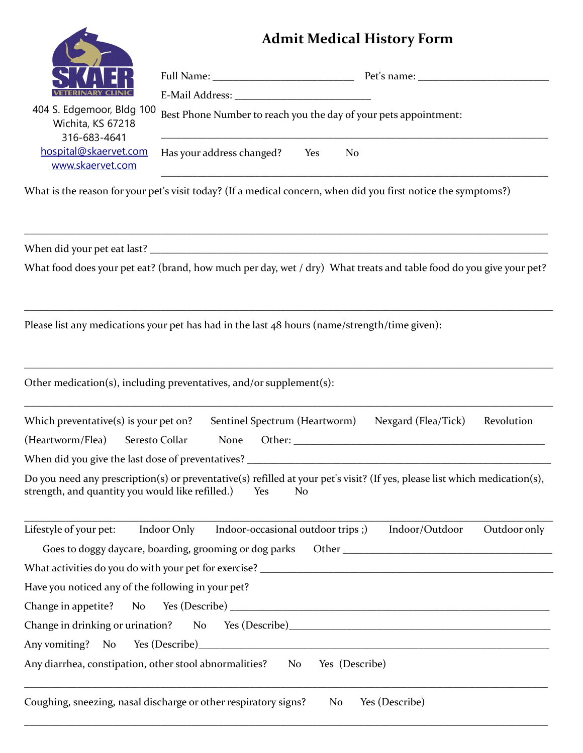## **Admit Medical History Form**



| <b>VETERINARY CLINIC</b>                                       |                                                                  |  |
|----------------------------------------------------------------|------------------------------------------------------------------|--|
| 404 S. Edgemoor, Bldg 100<br>Wichita, KS 67218<br>316-683-4641 | Best Phone Number to reach you the day of your pets appointment: |  |
| hospital@skaervet.com<br>www.skaervet.com                      | Has your address changed?<br>Yes<br>N <sub>o</sub>               |  |
|                                                                |                                                                  |  |

What is the reason for your pet's visit today? (If a medical concern, when did you first notice the symptoms?)

When did your pet eat last? \_\_\_\_\_\_\_\_\_\_\_\_\_\_\_\_\_\_\_\_\_\_\_\_\_\_\_\_\_\_\_\_\_\_\_\_\_\_\_\_\_\_\_\_\_\_\_\_\_\_\_\_\_\_\_\_\_\_\_\_\_\_\_\_\_\_\_\_\_\_\_\_\_\_\_\_

What food does your pet eat? (brand, how much per day, wet / dry) What treats and table food do you give your pet?

\_\_\_\_\_\_\_\_\_\_\_\_\_\_\_\_\_\_\_\_\_\_\_\_\_\_\_\_\_\_\_\_\_\_\_\_\_\_\_\_\_\_\_\_\_\_\_\_\_\_\_\_\_\_\_\_\_\_\_\_\_\_\_\_\_\_\_\_\_\_\_\_\_\_\_\_\_\_\_\_\_\_\_\_\_\_\_\_\_\_\_\_\_\_\_\_\_\_\_\_\_

Please list any medications your pet has had in the last 48 hours (name/strength/time given):

\_\_\_\_\_\_\_\_\_\_\_\_\_\_\_\_\_\_\_\_\_\_\_\_\_\_\_\_\_\_\_\_\_\_\_\_\_\_\_\_\_\_\_\_\_\_\_\_\_\_\_\_\_\_\_\_\_\_\_\_\_\_\_\_\_\_\_\_\_\_\_\_\_\_\_\_\_\_\_\_\_\_\_\_\_\_\_\_\_\_\_\_\_\_\_\_\_\_\_\_\_

Other medication(s), including preventatives, and/or supplement(s):

| Which preventative(s) is your pet on?             |                |             | Sentinel Spectrum (Heartworm)                                                                                                                                                                                                  | Nexgard (Flea/Tick) | Revolution |
|---------------------------------------------------|----------------|-------------|--------------------------------------------------------------------------------------------------------------------------------------------------------------------------------------------------------------------------------|---------------------|------------|
| (Heartworm/Flea)                                  | Seresto Collar | <b>None</b> | Other: and the control of the control of the control of the control of the control of the control of the control of the control of the control of the control of the control of the control of the control of the control of t |                     |            |
| When did you give the last dose of preventatives? |                |             |                                                                                                                                                                                                                                |                     |            |
| strength, and quantity you would like refilled.)  |                |             | Do you need any prescription(s) or preventative(s) refilled at your pet's visit? (If yes, please list which medication(s),<br>No.<br>Yes                                                                                       |                     |            |

\_\_\_\_\_\_\_\_\_\_\_\_\_\_\_\_\_\_\_\_\_\_\_\_\_\_\_\_\_\_\_\_\_\_\_\_\_\_\_\_\_\_\_\_\_\_\_\_\_\_\_\_\_\_\_\_\_\_\_\_\_\_\_\_\_\_\_\_\_\_\_\_\_\_\_\_\_\_\_\_\_\_\_\_\_\_\_\_\_\_\_\_\_\_\_\_\_\_\_\_\_

\_\_\_\_\_\_\_\_\_\_\_\_\_\_\_\_\_\_\_\_\_\_\_\_\_\_\_\_\_\_\_\_\_\_\_\_\_\_\_\_\_\_\_\_\_\_\_\_\_\_\_\_\_\_\_\_\_\_\_\_\_\_\_\_\_\_\_\_\_\_\_\_\_\_\_\_\_\_\_\_\_\_\_\_\_\_\_\_\_\_\_\_\_\_\_\_\_\_\_\_\_

| Lifestyle of your pet:                                                            | Indoor Only Indoor-occasional outdoor trips;)          |    | Indoor/Outdoor                                                                                                                                                                                                                 | Outdoor only |
|-----------------------------------------------------------------------------------|--------------------------------------------------------|----|--------------------------------------------------------------------------------------------------------------------------------------------------------------------------------------------------------------------------------|--------------|
|                                                                                   | Goes to doggy daycare, boarding, grooming or dog parks |    | Other that the contract of the contract of the contract of the contract of the contract of the contract of the contract of the contract of the contract of the contract of the contract of the contract of the contract of the |              |
| What activities do you do with your pet for exercise? __________________________  |                                                        |    |                                                                                                                                                                                                                                |              |
| Have you noticed any of the following in your pet?                                |                                                        |    |                                                                                                                                                                                                                                |              |
|                                                                                   |                                                        |    |                                                                                                                                                                                                                                |              |
| Change in drinking or urination? No Yes (Describe)_______________________________ |                                                        |    |                                                                                                                                                                                                                                |              |
| Any vomiting? No Yes (Describe)<br><u>No Yes (Describe)</u>                       |                                                        |    |                                                                                                                                                                                                                                |              |
| Any diarrhea, constipation, other stool abnormalities? No Yes (Describe)          |                                                        |    |                                                                                                                                                                                                                                |              |
|                                                                                   |                                                        |    |                                                                                                                                                                                                                                |              |
| Coughing, sneezing, nasal discharge or other respiratory signs?                   |                                                        | No | Yes (Describe)                                                                                                                                                                                                                 |              |

\_\_\_\_\_\_\_\_\_\_\_\_\_\_\_\_\_\_\_\_\_\_\_\_\_\_\_\_\_\_\_\_\_\_\_\_\_\_\_\_\_\_\_\_\_\_\_\_\_\_\_\_\_\_\_\_\_\_\_\_\_\_\_\_\_\_\_\_\_\_\_\_\_\_\_\_\_\_\_\_\_\_\_\_\_\_\_\_\_\_\_\_\_\_\_\_\_\_\_\_